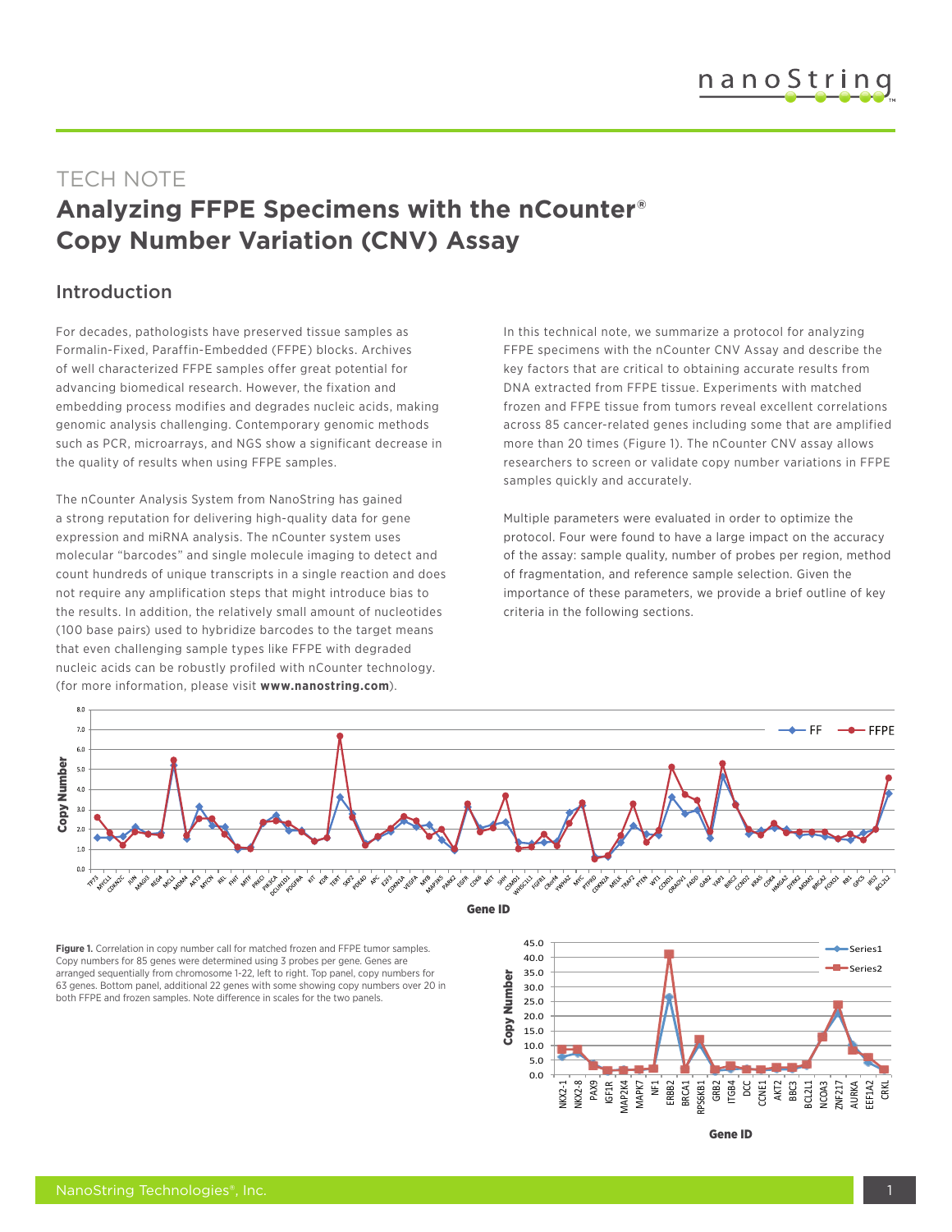# TECH NOTE **Analyzing FFPE Specimens with the nCounter® Copy Number Variation (CNV) Assay**

#### Introduction

For decades, pathologists have preserved tissue samples as Formalin-Fixed, Paraffin-Embedded (FFPE) blocks. Archives of well characterized FFPE samples offer great potential for advancing biomedical research. However, the fixation and embedding process modifies and degrades nucleic acids, making genomic analysis challenging. Contemporary genomic methods such as PCR, microarrays, and NGS show a significant decrease in the quality of results when using FFPE samples.

The nCounter Analysis System from NanoString has gained a strong reputation for delivering high-quality data for gene expression and miRNA analysis. The nCounter system uses molecular "barcodes" and single molecule imaging to detect and count hundreds of unique transcripts in a single reaction and does not require any amplification steps that might introduce bias to the results. In addition, the relatively small amount of nucleotides (100 base pairs) used to hybridize barcodes to the target means that even challenging sample types like FFPE with degraded nucleic acids can be robustly profiled with nCounter technology. (for more information, please visit **www.nanostring.com**).

In this technical note, we summarize a protocol for analyzing FFPE specimens with the nCounter CNV Assay and describe the key factors that are critical to obtaining accurate results from DNA extracted from FFPE tissue. Experiments with matched frozen and FFPE tissue from tumors reveal excellent correlations across 85 cancer-related genes including some that are amplified more than 20 times (Figure 1). The nCounter CNV assay allows researchers to screen or validate copy number variations in FFPE samples quickly and accurately.

Multiple parameters were evaluated in order to optimize the protocol. Four were found to have a large impact on the accuracy of the assay: sample quality, number of probes per region, method of fragmentation, and reference sample selection. Given the importance of these parameters, we provide a brief outline of key criteria in the following sections.



Gene **ID**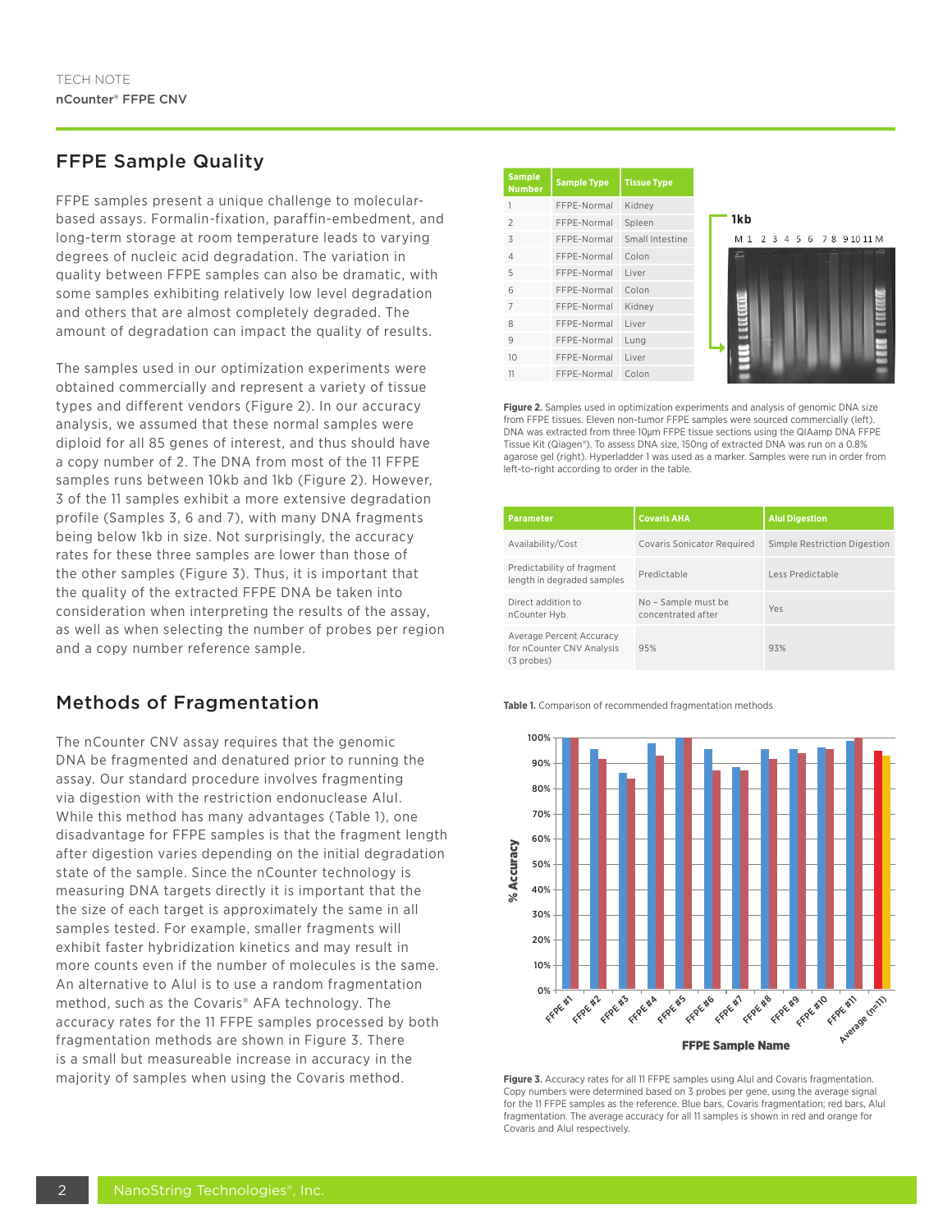### FFPE Sample Quality

FFPE samples present a unique challenge to molecularbased assays. Formalin-fixation, paraffin-embedment, and long-term storage at room temperature leads to varying degrees of nucleic acid degradation. The variation in quality between FFPE samples can also be dramatic, with some samples exhibiting relatively low level degradation and others that are almost completely degraded. The amount of degradation can impact the quality of results.

The samples used in our optimization experiments were obtained commercially and represent a variety of tissue types and different vendors (Figure 2). In our accuracy analysis, we assumed that these normal samples were diploid for all 85 genes of interest, and thus should have a copy number of 2. The DNA from most of the 11 FFPE samples runs between 10kb and 1kb (Figure 2). However, 3 of the 11 samples exhibit a more extensive degradation profile (Samples 3, 6 and 7), with many DNA fragments being below 1kb in size. Not surprisingly, the accuracy rates for these three samples are lower than those of the other samples (Figure 3). Thus, it is important that the quality of the extracted FFPE DNA be taken into consideration when interpreting the results of the assay, as well as when selecting the number of probes per region and a copy number reference sample.

### Methods of Fragmentation

The nCounter CNV assay requires that the genomic DNA be fragmented and denatured prior to running the assay. Our standard procedure involves fragmenting via digestion with the restriction endonuclease AluI. While this method has many advantages (Table 1), one disadvantage for FFPE samples is that the fragment length after digestion varies depending on the initial degradation state of the sample. Since the nCounter technology is measuring DNA targets directly it is important that the the size of each target is approximately the same in all samples tested. For example, smaller fragments will exhibit faster hybridization kinetics and may result in more counts even if the number of molecules is the same. An alternative to Alul is to use a random fragmentation method, such as the Covaris® AFA technology. The accuracy rates for the 11 FFPE samples processed by both fragmentation methods are shown in Figure 3. There is a small but measureable increase in accuracy in the majority of samples when using the Covaris method. **Figure 3.** Accuracy rates for all 11 FFPE samples using AluI and Covaris fragmentation.

| <b>Sample</b><br><b>Number</b> | <b>Sample Type</b> | <b>Tissue Type</b> |
|--------------------------------|--------------------|--------------------|
| 1                              | FFPE-Normal        | Kidney             |
| $\mathfrak{D}$                 | FFPE-Normal        | Spleen             |
| 3                              | FFPE-Normal        | Small Intestine    |
| $\Delta$                       | FFPE-Normal        | Colon              |
| 5                              | FFPE-Normal        | Liver              |
| $6\overline{6}$                | FFPE-Normal        | Colon              |
| $\overline{7}$                 | FFPE-Normal        | Kidney             |
| $\mathcal{R}$                  | FFPE-Normal        | Liver              |
| 9                              | FFPE-Normal        | Lung               |
| 10                             | FFPE-Normal        | Liver              |
| 11                             | FFPE-Normal        | Colon              |



**Figure 2**. Samples used in optimization experiments and analysis of genomic DNA size from FFPE tissues. Eleven non-tumor FFPE samples were sourced commercially (left). DNA was extracted from three 10μm FFPE tissue sections using the QIAamp DNA FFPE Tissue Kit (Qiagen®). To assess DNA size, 150ng of extracted DNA was run on a 0.8% agarose gel (right). Hyperladder 1 was used as a marker. Samples were run in order from left-to-right according to order in the table.

| <b>Parameter</b>                                                    | <b>Covaris AHA</b>                        | <b>Alul Digestion</b>        |
|---------------------------------------------------------------------|-------------------------------------------|------------------------------|
| Availability/Cost                                                   | <b>Covaris Sonicator Required</b>         | Simple Restriction Digestion |
| Predictability of fragment<br>length in degraded samples            | Predictable                               | Less Predictable             |
| Direct addition to<br>nCounter Hyb                                  | No - Sample must be<br>concentrated after | Yes                          |
| Average Percent Accuracy<br>for nCounter CNV Analysis<br>(3 probes) | 95%                                       | 93%                          |

**Table 1**. Comparison of recommended fragmentation methods



Copy numbers were determined based on 3 probes per gene, using the average signal for the 11 FFPE samples as the reference. Blue bars, Covaris fragmentation; red bars, AluI fragmentation. The average accuracy for all 11 samples is shown in red and orange for Covaris and AluI respectively.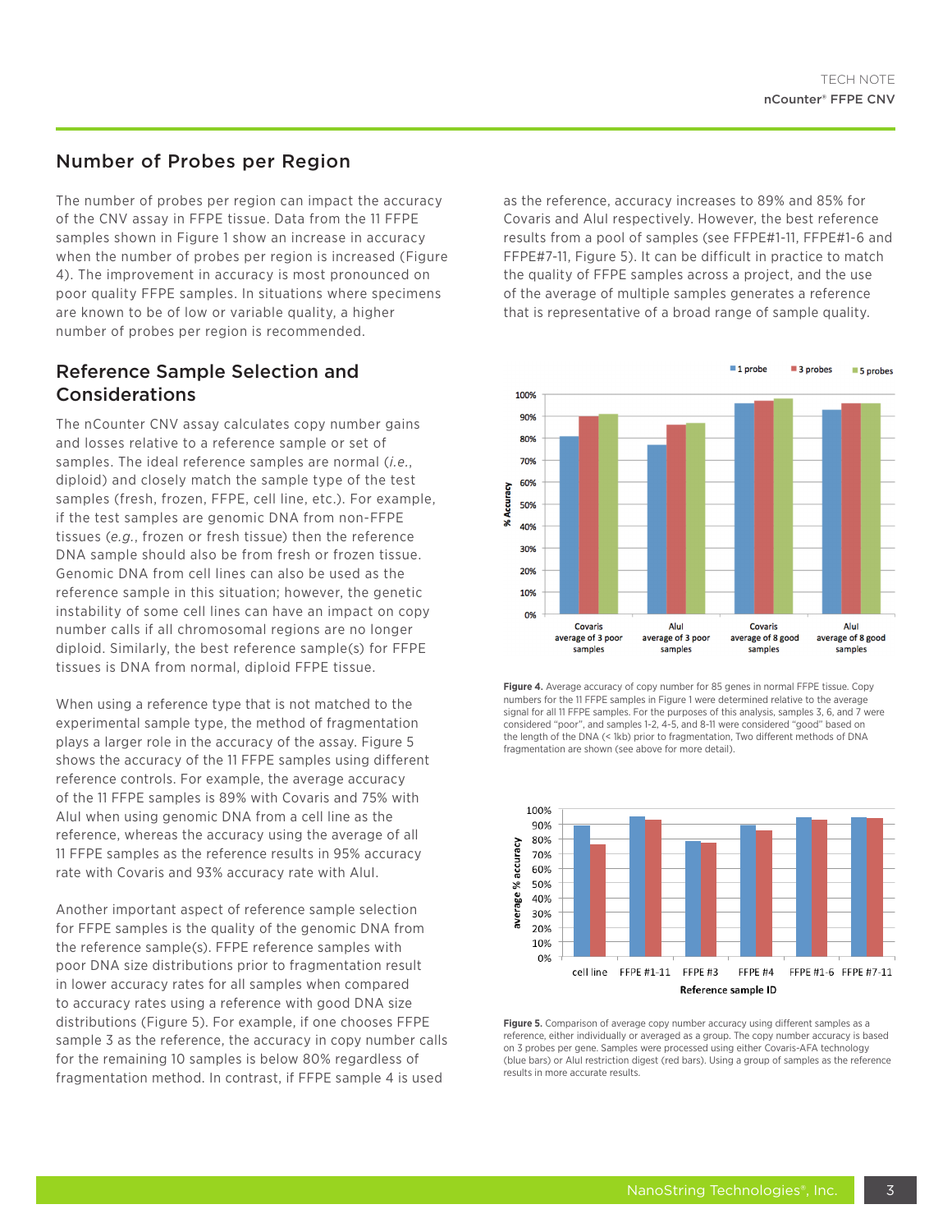#### Number of Probes per Region

The number of probes per region can impact the accuracy of the CNV assay in FFPE tissue. Data from the 11 FFPE samples shown in Figure 1 show an increase in accuracy when the number of probes per region is increased (Figure 4). The improvement in accuracy is most pronounced on poor quality FFPE samples. In situations where specimens are known to be of low or variable quality, a higher number of probes per region is recommended.

#### Reference Sample Selection and Considerations

The nCounter CNV assay calculates copy number gains and losses relative to a reference sample or set of samples. The ideal reference samples are normal (*i.e.*, diploid) and closely match the sample type of the test samples (fresh, frozen, FFPE, cell line, etc.). For example, if the test samples are genomic DNA from non-FFPE tissues (*e.g.*, frozen or fresh tissue) then the reference DNA sample should also be from fresh or frozen tissue. Genomic DNA from cell lines can also be used as the reference sample in this situation; however, the genetic instability of some cell lines can have an impact on copy number calls if all chromosomal regions are no longer diploid. Similarly, the best reference sample(s) for FFPE tissues is DNA from normal, diploid FFPE tissue.

When using a reference type that is not matched to the experimental sample type, the method of fragmentation plays a larger role in the accuracy of the assay. Figure 5 shows the accuracy of the 11 FFPE samples using different reference controls. For example, the average accuracy of the 11 FFPE samples is 89% with Covaris and 75% with AluI when using genomic DNA from a cell line as the reference, whereas the accuracy using the average of all 11 FFPE samples as the reference results in 95% accuracy rate with Covaris and 93% accuracy rate with AluI.

Another important aspect of reference sample selection for FFPE samples is the quality of the genomic DNA from the reference sample(s). FFPE reference samples with poor DNA size distributions prior to fragmentation result in lower accuracy rates for all samples when compared to accuracy rates using a reference with good DNA size distributions (Figure 5). For example, if one chooses FFPE sample 3 as the reference, the accuracy in copy number calls for the remaining 10 samples is below 80% regardless of fragmentation method. In contrast, if FFPE sample 4 is used

as the reference, accuracy increases to 89% and 85% for Covaris and AluI respectively. However, the best reference results from a pool of samples (see FFPE#1-11, FFPE#1-6 and FFPE#7-11, Figure 5). It can be difficult in practice to match the quality of FFPE samples across a project, and the use of the average of multiple samples generates a reference that is representative of a broad range of sample quality.







**Figure 5**. Comparison of average copy number accuracy using different samples as a reference, either individually or averaged as a group. The copy number accuracy is based on 3 probes per gene. Samples were processed using either Covaris-AFA technology (blue bars) or AluI restriction digest (red bars). Using a group of samples as the reference results in more accurate results.